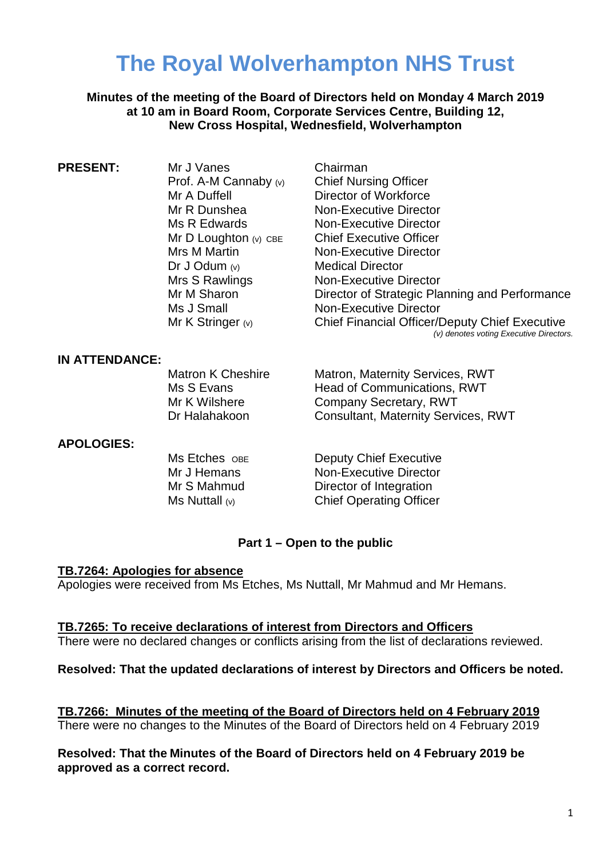# **The Royal Wolverhampton NHS Trust**

**Minutes of the meeting of the Board of Directors held on Monday 4 March 2019 at 10 am in Board Room, Corporate Services Centre, Building 12, New Cross Hospital, Wednesfield, Wolverhampton**

| <b>PRESENT:</b> | Mr J Vanes              | Chairman                                                                                         |
|-----------------|-------------------------|--------------------------------------------------------------------------------------------------|
|                 | Prof. A-M Cannaby $(v)$ | <b>Chief Nursing Officer</b>                                                                     |
|                 | Mr A Duffell            | Director of Workforce                                                                            |
|                 | Mr R Dunshea            | <b>Non-Executive Director</b>                                                                    |
|                 | Ms R Edwards            | <b>Non-Executive Director</b>                                                                    |
|                 | Mr D Loughton $(v)$ CBE | <b>Chief Executive Officer</b>                                                                   |
|                 | Mrs M Martin            | <b>Non-Executive Director</b>                                                                    |
|                 | Dr J Odum $(v)$         | <b>Medical Director</b>                                                                          |
|                 | Mrs S Rawlings          | <b>Non-Executive Director</b>                                                                    |
|                 | Mr M Sharon             | Director of Strategic Planning and Performance                                                   |
|                 | Ms J Small              | <b>Non-Executive Director</b>                                                                    |
|                 | Mr K Stringer $(v)$     | <b>Chief Financial Officer/Deputy Chief Executive</b><br>(v) denotes voting Executive Directors. |

## **IN ATTENDANCE:**

Matron K Cheshire **Matron, Maternity Services, RWT** Ms S Evans **Head of Communications, RWT** Mr K Wilshere **Company Secretary, RWT** Dr Halahakoon Consultant, Maternity Services, RWT

## **APOLOGIES:**

Ms Etches OBE **Deputy Chief Executive** Mr J Hemans Non-Executive Director Mr S Mahmud Director of Integration Ms Nuttall (v) Chief Operating Officer

## **Part 1 – Open to the public**

## **TB.7264: Apologies for absence**

Apologies were received from Ms Etches, Ms Nuttall, Mr Mahmud and Mr Hemans.

# **TB.7265: To receive declarations of interest from Directors and Officers**

There were no declared changes or conflicts arising from the list of declarations reviewed.

## **Resolved: That the updated declarations of interest by Directors and Officers be noted.**

**TB.7266: Minutes of the meeting of the Board of Directors held on 4 February 2019** There were no changes to the Minutes of the Board of Directors held on 4 February 2019

**Resolved: That the Minutes of the Board of Directors held on 4 February 2019 be approved as a correct record.**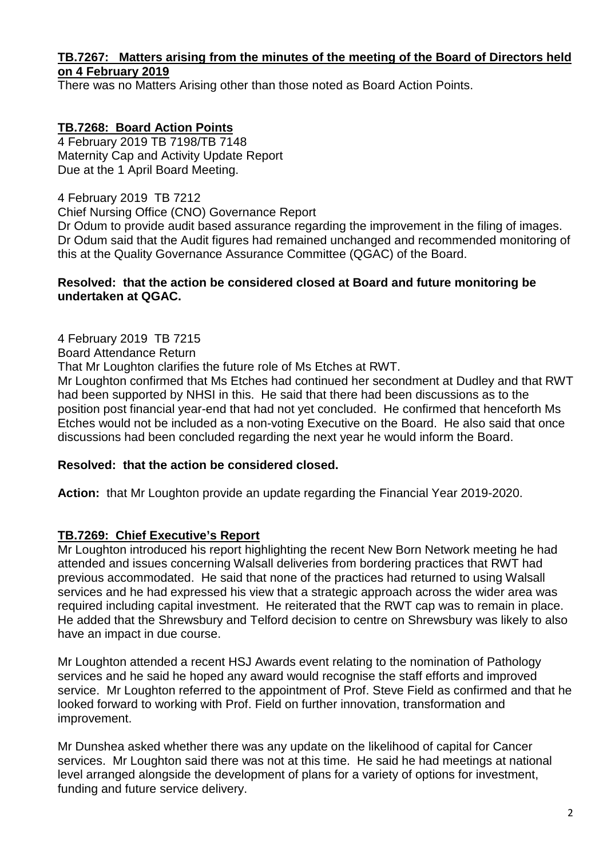# **TB.7267: Matters arising from the minutes of the meeting of the Board of Directors held on 4 February 2019**

There was no Matters Arising other than those noted as Board Action Points.

**TB.7268: Board Action Points** 4 February 2019 TB 7198/TB 7148 Maternity Cap and Activity Update Report Due at the 1 April Board Meeting.

4 February 2019 TB 7212 Chief Nursing Office (CNO) Governance Report Dr Odum to provide audit based assurance regarding the improvement in the filing of images. Dr Odum said that the Audit figures had remained unchanged and recommended monitoring of this at the Quality Governance Assurance Committee (QGAC) of the Board.

# **Resolved: that the action be considered closed at Board and future monitoring be undertaken at QGAC.**

4 February 2019 TB 7215

Board Attendance Return

That Mr Loughton clarifies the future role of Ms Etches at RWT.

Mr Loughton confirmed that Ms Etches had continued her secondment at Dudley and that RWT had been supported by NHSI in this. He said that there had been discussions as to the position post financial year-end that had not yet concluded. He confirmed that henceforth Ms Etches would not be included as a non-voting Executive on the Board. He also said that once discussions had been concluded regarding the next year he would inform the Board.

## **Resolved: that the action be considered closed.**

**Action:** that Mr Loughton provide an update regarding the Financial Year 2019-2020.

# **TB.7269: Chief Executive's Report**

Mr Loughton introduced his report highlighting the recent New Born Network meeting he had attended and issues concerning Walsall deliveries from bordering practices that RWT had previous accommodated. He said that none of the practices had returned to using Walsall services and he had expressed his view that a strategic approach across the wider area was required including capital investment. He reiterated that the RWT cap was to remain in place. He added that the Shrewsbury and Telford decision to centre on Shrewsbury was likely to also have an impact in due course.

Mr Loughton attended a recent HSJ Awards event relating to the nomination of Pathology services and he said he hoped any award would recognise the staff efforts and improved service. Mr Loughton referred to the appointment of Prof. Steve Field as confirmed and that he looked forward to working with Prof. Field on further innovation, transformation and improvement.

Mr Dunshea asked whether there was any update on the likelihood of capital for Cancer services. Mr Loughton said there was not at this time. He said he had meetings at national level arranged alongside the development of plans for a variety of options for investment, funding and future service delivery.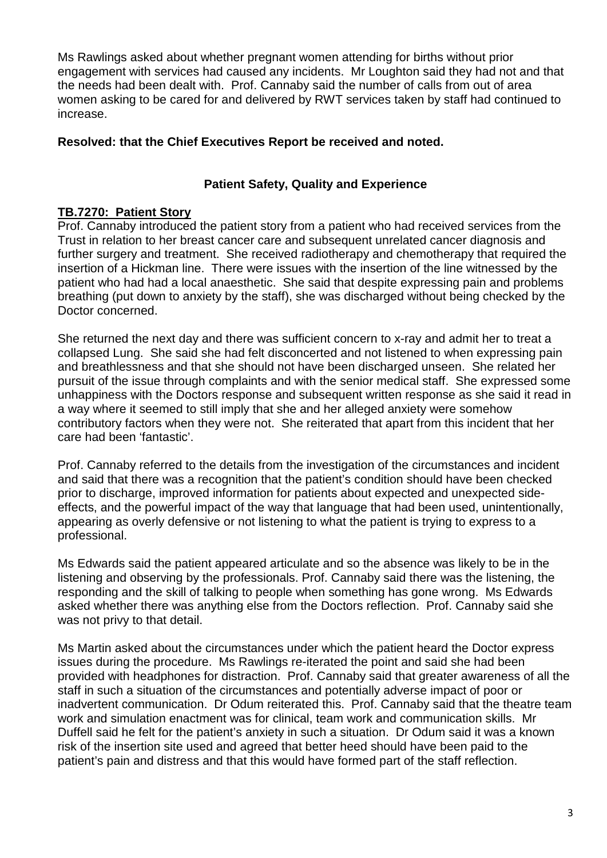Ms Rawlings asked about whether pregnant women attending for births without prior engagement with services had caused any incidents. Mr Loughton said they had not and that the needs had been dealt with. Prof. Cannaby said the number of calls from out of area women asking to be cared for and delivered by RWT services taken by staff had continued to increase.

# **Resolved: that the Chief Executives Report be received and noted.**

# **Patient Safety, Quality and Experience**

# **TB.7270: Patient Story**

Prof. Cannaby introduced the patient story from a patient who had received services from the Trust in relation to her breast cancer care and subsequent unrelated cancer diagnosis and further surgery and treatment. She received radiotherapy and chemotherapy that required the insertion of a Hickman line. There were issues with the insertion of the line witnessed by the patient who had had a local anaesthetic. She said that despite expressing pain and problems breathing (put down to anxiety by the staff), she was discharged without being checked by the Doctor concerned.

She returned the next day and there was sufficient concern to x-ray and admit her to treat a collapsed Lung. She said she had felt disconcerted and not listened to when expressing pain and breathlessness and that she should not have been discharged unseen. She related her pursuit of the issue through complaints and with the senior medical staff. She expressed some unhappiness with the Doctors response and subsequent written response as she said it read in a way where it seemed to still imply that she and her alleged anxiety were somehow contributory factors when they were not. She reiterated that apart from this incident that her care had been 'fantastic'.

Prof. Cannaby referred to the details from the investigation of the circumstances and incident and said that there was a recognition that the patient's condition should have been checked prior to discharge, improved information for patients about expected and unexpected sideeffects, and the powerful impact of the way that language that had been used, unintentionally, appearing as overly defensive or not listening to what the patient is trying to express to a professional.

Ms Edwards said the patient appeared articulate and so the absence was likely to be in the listening and observing by the professionals. Prof. Cannaby said there was the listening, the responding and the skill of talking to people when something has gone wrong. Ms Edwards asked whether there was anything else from the Doctors reflection. Prof. Cannaby said she was not privy to that detail.

Ms Martin asked about the circumstances under which the patient heard the Doctor express issues during the procedure. Ms Rawlings re-iterated the point and said she had been provided with headphones for distraction. Prof. Cannaby said that greater awareness of all the staff in such a situation of the circumstances and potentially adverse impact of poor or inadvertent communication. Dr Odum reiterated this. Prof. Cannaby said that the theatre team work and simulation enactment was for clinical, team work and communication skills. Mr Duffell said he felt for the patient's anxiety in such a situation. Dr Odum said it was a known risk of the insertion site used and agreed that better heed should have been paid to the patient's pain and distress and that this would have formed part of the staff reflection.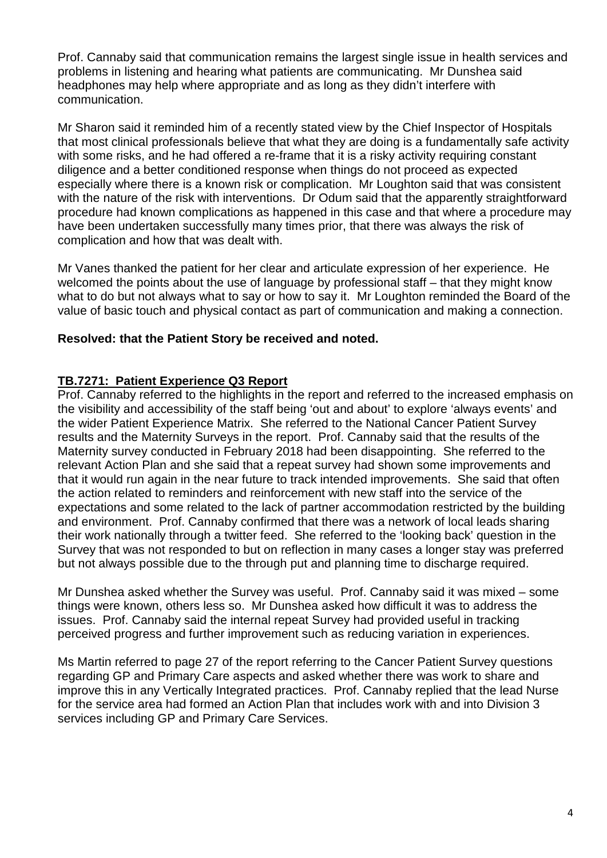Prof. Cannaby said that communication remains the largest single issue in health services and problems in listening and hearing what patients are communicating. Mr Dunshea said headphones may help where appropriate and as long as they didn't interfere with communication.

Mr Sharon said it reminded him of a recently stated view by the Chief Inspector of Hospitals that most clinical professionals believe that what they are doing is a fundamentally safe activity with some risks, and he had offered a re-frame that it is a risky activity requiring constant diligence and a better conditioned response when things do not proceed as expected especially where there is a known risk or complication. Mr Loughton said that was consistent with the nature of the risk with interventions. Dr Odum said that the apparently straightforward procedure had known complications as happened in this case and that where a procedure may have been undertaken successfully many times prior, that there was always the risk of complication and how that was dealt with.

Mr Vanes thanked the patient for her clear and articulate expression of her experience. He welcomed the points about the use of language by professional staff – that they might know what to do but not always what to say or how to say it. Mr Loughton reminded the Board of the value of basic touch and physical contact as part of communication and making a connection.

# **Resolved: that the Patient Story be received and noted.**

# **TB.7271: Patient Experience Q3 Report**

Prof. Cannaby referred to the highlights in the report and referred to the increased emphasis on the visibility and accessibility of the staff being 'out and about' to explore 'always events' and the wider Patient Experience Matrix. She referred to the National Cancer Patient Survey results and the Maternity Surveys in the report. Prof. Cannaby said that the results of the Maternity survey conducted in February 2018 had been disappointing. She referred to the relevant Action Plan and she said that a repeat survey had shown some improvements and that it would run again in the near future to track intended improvements. She said that often the action related to reminders and reinforcement with new staff into the service of the expectations and some related to the lack of partner accommodation restricted by the building and environment. Prof. Cannaby confirmed that there was a network of local leads sharing their work nationally through a twitter feed. She referred to the 'looking back' question in the Survey that was not responded to but on reflection in many cases a longer stay was preferred but not always possible due to the through put and planning time to discharge required.

Mr Dunshea asked whether the Survey was useful. Prof. Cannaby said it was mixed – some things were known, others less so. Mr Dunshea asked how difficult it was to address the issues. Prof. Cannaby said the internal repeat Survey had provided useful in tracking perceived progress and further improvement such as reducing variation in experiences.

Ms Martin referred to page 27 of the report referring to the Cancer Patient Survey questions regarding GP and Primary Care aspects and asked whether there was work to share and improve this in any Vertically Integrated practices. Prof. Cannaby replied that the lead Nurse for the service area had formed an Action Plan that includes work with and into Division 3 services including GP and Primary Care Services.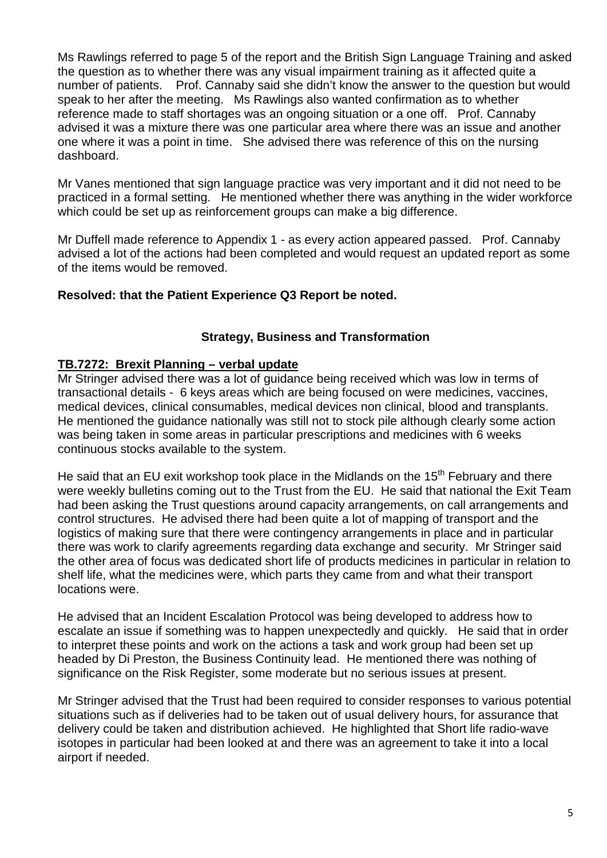Ms Rawlings referred to page 5 of the report and the British Sign Language Training and asked the question as to whether there was any visual impairment training as it affected quite a number of patients. Prof. Cannaby said she didn't know the answer to the question but would speak to her after the meeting. Ms Rawlings also wanted confirmation as to whether reference made to staff shortages was an ongoing situation or a one off. Prof. Cannaby advised it was a mixture there was one particular area where there was an issue and another one where it was a point in time. She advised there was reference of this on the nursing dashboard.

Mr Vanes mentioned that sign language practice was very important and it did not need to be practiced in a formal setting. He mentioned whether there was anything in the wider workforce which could be set up as reinforcement groups can make a big difference.

Mr Duffell made reference to Appendix 1 - as every action appeared passed. Prof. Cannaby advised a lot of the actions had been completed and would request an updated report as some of the items would be removed.

# **Resolved: that the Patient Experience Q3 Report be noted.**

# **Strategy, Business and Transformation**

# **TB.7272: Brexit Planning – verbal update**

Mr Stringer advised there was a lot of guidance being received which was low in terms of transactional details - 6 keys areas which are being focused on were medicines, vaccines, medical devices, clinical consumables, medical devices non clinical, blood and transplants. He mentioned the guidance nationally was still not to stock pile although clearly some action was being taken in some areas in particular prescriptions and medicines with 6 weeks continuous stocks available to the system.

He said that an EU exit workshop took place in the Midlands on the 15<sup>th</sup> February and there were weekly bulletins coming out to the Trust from the EU. He said that national the Exit Team had been asking the Trust questions around capacity arrangements, on call arrangements and control structures. He advised there had been quite a lot of mapping of transport and the logistics of making sure that there were contingency arrangements in place and in particular there was work to clarify agreements regarding data exchange and security. Mr Stringer said the other area of focus was dedicated short life of products medicines in particular in relation to shelf life, what the medicines were, which parts they came from and what their transport locations were.

He advised that an Incident Escalation Protocol was being developed to address how to escalate an issue if something was to happen unexpectedly and quickly. He said that in order to interpret these points and work on the actions a task and work group had been set up headed by Di Preston, the Business Continuity lead. He mentioned there was nothing of significance on the Risk Register, some moderate but no serious issues at present.

Mr Stringer advised that the Trust had been required to consider responses to various potential situations such as if deliveries had to be taken out of usual delivery hours, for assurance that delivery could be taken and distribution achieved. He highlighted that Short life radio-wave isotopes in particular had been looked at and there was an agreement to take it into a local airport if needed.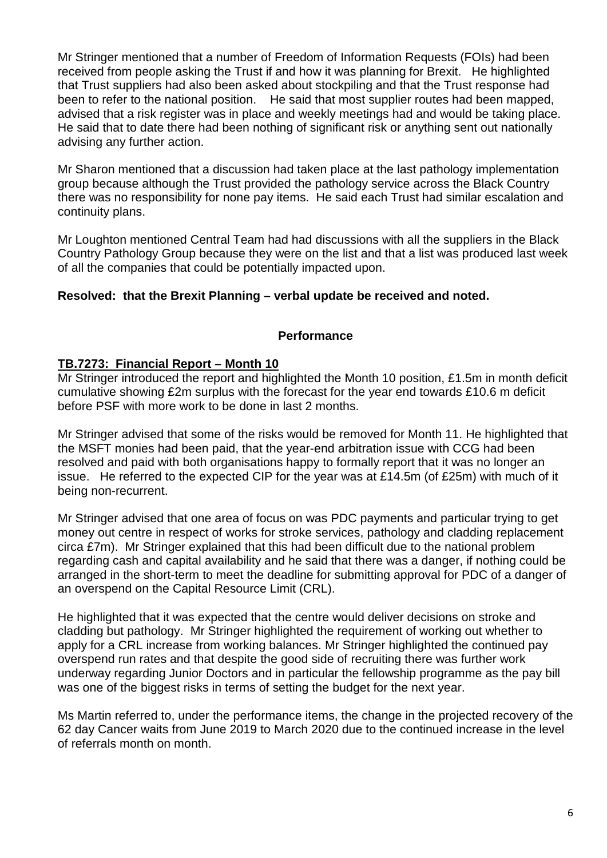Mr Stringer mentioned that a number of Freedom of Information Requests (FOIs) had been received from people asking the Trust if and how it was planning for Brexit. He highlighted that Trust suppliers had also been asked about stockpiling and that the Trust response had been to refer to the national position. He said that most supplier routes had been mapped, advised that a risk register was in place and weekly meetings had and would be taking place. He said that to date there had been nothing of significant risk or anything sent out nationally advising any further action.

Mr Sharon mentioned that a discussion had taken place at the last pathology implementation group because although the Trust provided the pathology service across the Black Country there was no responsibility for none pay items. He said each Trust had similar escalation and continuity plans.

Mr Loughton mentioned Central Team had had discussions with all the suppliers in the Black Country Pathology Group because they were on the list and that a list was produced last week of all the companies that could be potentially impacted upon.

# **Resolved: that the Brexit Planning – verbal update be received and noted.**

# **Performance**

# **TB.7273: Financial Report – Month 10**

Mr Stringer introduced the report and highlighted the Month 10 position, £1.5m in month deficit cumulative showing £2m surplus with the forecast for the year end towards £10.6 m deficit before PSF with more work to be done in last 2 months.

Mr Stringer advised that some of the risks would be removed for Month 11. He highlighted that the MSFT monies had been paid, that the year-end arbitration issue with CCG had been resolved and paid with both organisations happy to formally report that it was no longer an issue. He referred to the expected CIP for the year was at £14.5m (of £25m) with much of it being non-recurrent.

Mr Stringer advised that one area of focus on was PDC payments and particular trying to get money out centre in respect of works for stroke services, pathology and cladding replacement circa £7m). Mr Stringer explained that this had been difficult due to the national problem regarding cash and capital availability and he said that there was a danger, if nothing could be arranged in the short-term to meet the deadline for submitting approval for PDC of a danger of an overspend on the Capital Resource Limit (CRL).

He highlighted that it was expected that the centre would deliver decisions on stroke and cladding but pathology. Mr Stringer highlighted the requirement of working out whether to apply for a CRL increase from working balances. Mr Stringer highlighted the continued pay overspend run rates and that despite the good side of recruiting there was further work underway regarding Junior Doctors and in particular the fellowship programme as the pay bill was one of the biggest risks in terms of setting the budget for the next year.

Ms Martin referred to, under the performance items, the change in the projected recovery of the 62 day Cancer waits from June 2019 to March 2020 due to the continued increase in the level of referrals month on month.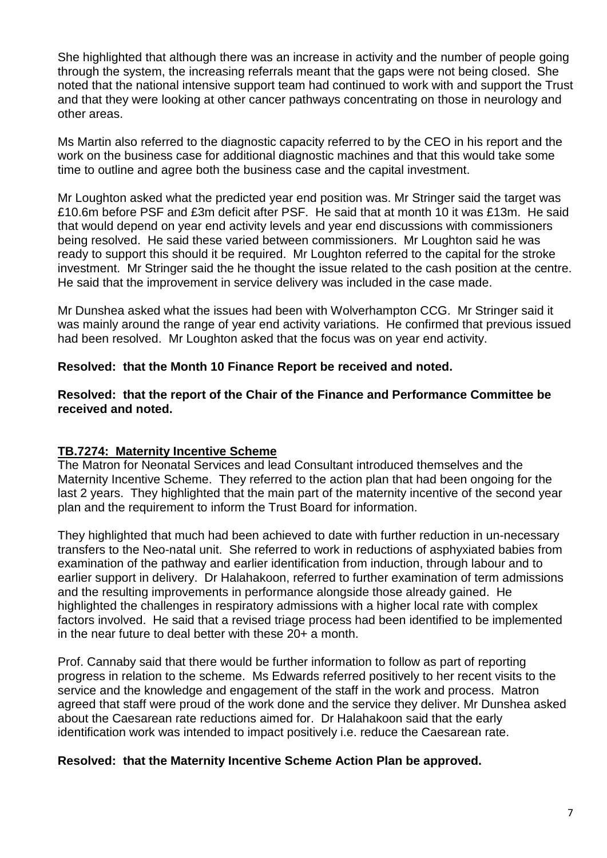She highlighted that although there was an increase in activity and the number of people going through the system, the increasing referrals meant that the gaps were not being closed. She noted that the national intensive support team had continued to work with and support the Trust and that they were looking at other cancer pathways concentrating on those in neurology and other areas.

Ms Martin also referred to the diagnostic capacity referred to by the CEO in his report and the work on the business case for additional diagnostic machines and that this would take some time to outline and agree both the business case and the capital investment.

Mr Loughton asked what the predicted year end position was. Mr Stringer said the target was £10.6m before PSF and £3m deficit after PSF. He said that at month 10 it was £13m. He said that would depend on year end activity levels and year end discussions with commissioners being resolved. He said these varied between commissioners. Mr Loughton said he was ready to support this should it be required. Mr Loughton referred to the capital for the stroke investment. Mr Stringer said the he thought the issue related to the cash position at the centre. He said that the improvement in service delivery was included in the case made.

Mr Dunshea asked what the issues had been with Wolverhampton CCG. Mr Stringer said it was mainly around the range of year end activity variations. He confirmed that previous issued had been resolved. Mr Loughton asked that the focus was on year end activity.

# **Resolved: that the Month 10 Finance Report be received and noted.**

**Resolved: that the report of the Chair of the Finance and Performance Committee be received and noted.**

# **TB.7274: Maternity Incentive Scheme**

The Matron for Neonatal Services and lead Consultant introduced themselves and the Maternity Incentive Scheme. They referred to the action plan that had been ongoing for the last 2 years. They highlighted that the main part of the maternity incentive of the second year plan and the requirement to inform the Trust Board for information.

They highlighted that much had been achieved to date with further reduction in un-necessary transfers to the Neo-natal unit. She referred to work in reductions of asphyxiated babies from examination of the pathway and earlier identification from induction, through labour and to earlier support in delivery. Dr Halahakoon, referred to further examination of term admissions and the resulting improvements in performance alongside those already gained. He highlighted the challenges in respiratory admissions with a higher local rate with complex factors involved. He said that a revised triage process had been identified to be implemented in the near future to deal better with these 20+ a month.

Prof. Cannaby said that there would be further information to follow as part of reporting progress in relation to the scheme. Ms Edwards referred positively to her recent visits to the service and the knowledge and engagement of the staff in the work and process. Matron agreed that staff were proud of the work done and the service they deliver. Mr Dunshea asked about the Caesarean rate reductions aimed for. Dr Halahakoon said that the early identification work was intended to impact positively i.e. reduce the Caesarean rate.

## **Resolved: that the Maternity Incentive Scheme Action Plan be approved.**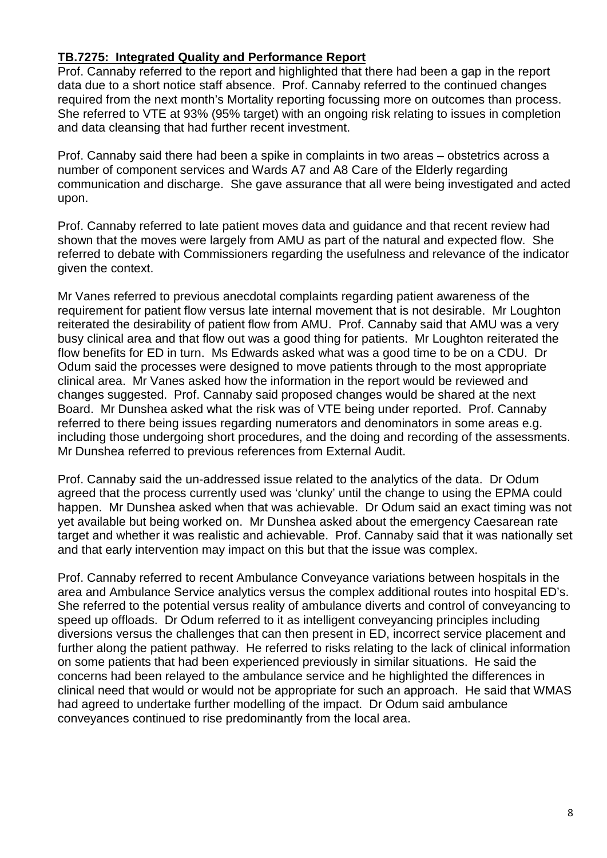# **TB.7275: Integrated Quality and Performance Report**

Prof. Cannaby referred to the report and highlighted that there had been a gap in the report data due to a short notice staff absence. Prof. Cannaby referred to the continued changes required from the next month's Mortality reporting focussing more on outcomes than process. She referred to VTE at 93% (95% target) with an ongoing risk relating to issues in completion and data cleansing that had further recent investment.

Prof. Cannaby said there had been a spike in complaints in two areas – obstetrics across a number of component services and Wards A7 and A8 Care of the Elderly regarding communication and discharge. She gave assurance that all were being investigated and acted upon.

Prof. Cannaby referred to late patient moves data and guidance and that recent review had shown that the moves were largely from AMU as part of the natural and expected flow. She referred to debate with Commissioners regarding the usefulness and relevance of the indicator given the context.

Mr Vanes referred to previous anecdotal complaints regarding patient awareness of the requirement for patient flow versus late internal movement that is not desirable. Mr Loughton reiterated the desirability of patient flow from AMU. Prof. Cannaby said that AMU was a very busy clinical area and that flow out was a good thing for patients. Mr Loughton reiterated the flow benefits for ED in turn. Ms Edwards asked what was a good time to be on a CDU. Dr Odum said the processes were designed to move patients through to the most appropriate clinical area. Mr Vanes asked how the information in the report would be reviewed and changes suggested. Prof. Cannaby said proposed changes would be shared at the next Board. Mr Dunshea asked what the risk was of VTE being under reported. Prof. Cannaby referred to there being issues regarding numerators and denominators in some areas e.g. including those undergoing short procedures, and the doing and recording of the assessments. Mr Dunshea referred to previous references from External Audit.

Prof. Cannaby said the un-addressed issue related to the analytics of the data. Dr Odum agreed that the process currently used was 'clunky' until the change to using the EPMA could happen. Mr Dunshea asked when that was achievable. Dr Odum said an exact timing was not yet available but being worked on. Mr Dunshea asked about the emergency Caesarean rate target and whether it was realistic and achievable. Prof. Cannaby said that it was nationally set and that early intervention may impact on this but that the issue was complex.

Prof. Cannaby referred to recent Ambulance Conveyance variations between hospitals in the area and Ambulance Service analytics versus the complex additional routes into hospital ED's. She referred to the potential versus reality of ambulance diverts and control of conveyancing to speed up offloads. Dr Odum referred to it as intelligent conveyancing principles including diversions versus the challenges that can then present in ED, incorrect service placement and further along the patient pathway. He referred to risks relating to the lack of clinical information on some patients that had been experienced previously in similar situations. He said the concerns had been relayed to the ambulance service and he highlighted the differences in clinical need that would or would not be appropriate for such an approach. He said that WMAS had agreed to undertake further modelling of the impact. Dr Odum said ambulance conveyances continued to rise predominantly from the local area.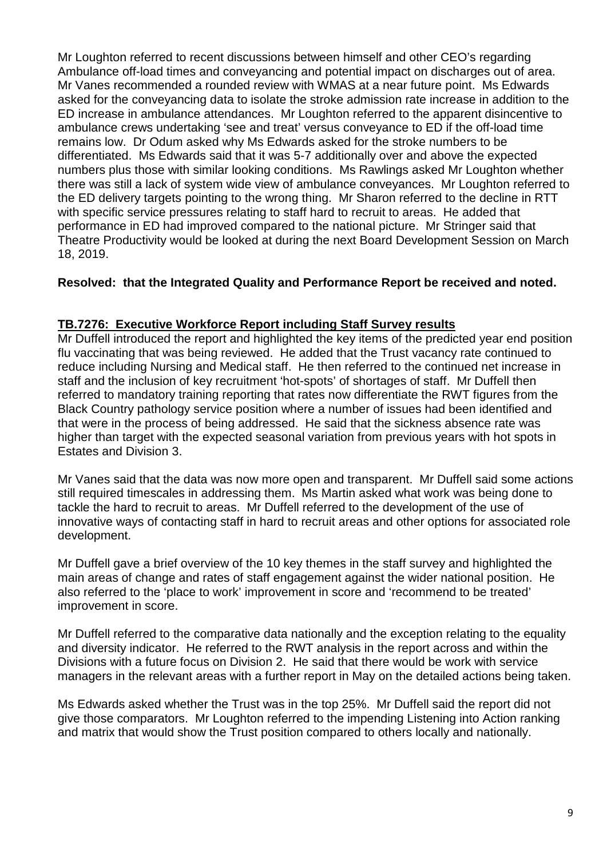Mr Loughton referred to recent discussions between himself and other CEO's regarding Ambulance off-load times and conveyancing and potential impact on discharges out of area. Mr Vanes recommended a rounded review with WMAS at a near future point. Ms Edwards asked for the conveyancing data to isolate the stroke admission rate increase in addition to the ED increase in ambulance attendances. Mr Loughton referred to the apparent disincentive to ambulance crews undertaking 'see and treat' versus conveyance to ED if the off-load time remains low. Dr Odum asked why Ms Edwards asked for the stroke numbers to be differentiated. Ms Edwards said that it was 5-7 additionally over and above the expected numbers plus those with similar looking conditions. Ms Rawlings asked Mr Loughton whether there was still a lack of system wide view of ambulance conveyances. Mr Loughton referred to the ED delivery targets pointing to the wrong thing. Mr Sharon referred to the decline in RTT with specific service pressures relating to staff hard to recruit to areas. He added that performance in ED had improved compared to the national picture. Mr Stringer said that Theatre Productivity would be looked at during the next Board Development Session on March 18, 2019.

# **Resolved: that the Integrated Quality and Performance Report be received and noted.**

# **TB.7276: Executive Workforce Report including Staff Survey results**

Mr Duffell introduced the report and highlighted the key items of the predicted year end position flu vaccinating that was being reviewed. He added that the Trust vacancy rate continued to reduce including Nursing and Medical staff. He then referred to the continued net increase in staff and the inclusion of key recruitment 'hot-spots' of shortages of staff. Mr Duffell then referred to mandatory training reporting that rates now differentiate the RWT figures from the Black Country pathology service position where a number of issues had been identified and that were in the process of being addressed. He said that the sickness absence rate was higher than target with the expected seasonal variation from previous years with hot spots in Estates and Division 3.

Mr Vanes said that the data was now more open and transparent. Mr Duffell said some actions still required timescales in addressing them. Ms Martin asked what work was being done to tackle the hard to recruit to areas. Mr Duffell referred to the development of the use of innovative ways of contacting staff in hard to recruit areas and other options for associated role development.

Mr Duffell gave a brief overview of the 10 key themes in the staff survey and highlighted the main areas of change and rates of staff engagement against the wider national position. He also referred to the 'place to work' improvement in score and 'recommend to be treated' improvement in score.

Mr Duffell referred to the comparative data nationally and the exception relating to the equality and diversity indicator. He referred to the RWT analysis in the report across and within the Divisions with a future focus on Division 2. He said that there would be work with service managers in the relevant areas with a further report in May on the detailed actions being taken.

Ms Edwards asked whether the Trust was in the top 25%. Mr Duffell said the report did not give those comparators. Mr Loughton referred to the impending Listening into Action ranking and matrix that would show the Trust position compared to others locally and nationally.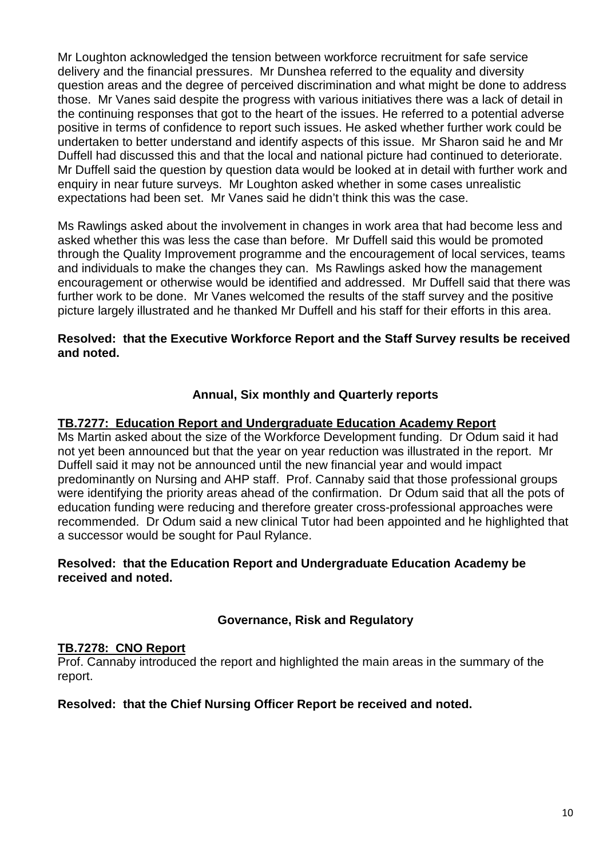Mr Loughton acknowledged the tension between workforce recruitment for safe service delivery and the financial pressures. Mr Dunshea referred to the equality and diversity question areas and the degree of perceived discrimination and what might be done to address those. Mr Vanes said despite the progress with various initiatives there was a lack of detail in the continuing responses that got to the heart of the issues. He referred to a potential adverse positive in terms of confidence to report such issues. He asked whether further work could be undertaken to better understand and identify aspects of this issue. Mr Sharon said he and Mr Duffell had discussed this and that the local and national picture had continued to deteriorate. Mr Duffell said the question by question data would be looked at in detail with further work and enquiry in near future surveys. Mr Loughton asked whether in some cases unrealistic expectations had been set. Mr Vanes said he didn't think this was the case.

Ms Rawlings asked about the involvement in changes in work area that had become less and asked whether this was less the case than before. Mr Duffell said this would be promoted through the Quality Improvement programme and the encouragement of local services, teams and individuals to make the changes they can. Ms Rawlings asked how the management encouragement or otherwise would be identified and addressed. Mr Duffell said that there was further work to be done. Mr Vanes welcomed the results of the staff survey and the positive picture largely illustrated and he thanked Mr Duffell and his staff for their efforts in this area.

## **Resolved: that the Executive Workforce Report and the Staff Survey results be received and noted.**

# **Annual, Six monthly and Quarterly reports**

# **TB.7277: Education Report and Undergraduate Education Academy Report**

Ms Martin asked about the size of the Workforce Development funding. Dr Odum said it had not yet been announced but that the year on year reduction was illustrated in the report. Mr Duffell said it may not be announced until the new financial year and would impact predominantly on Nursing and AHP staff. Prof. Cannaby said that those professional groups were identifying the priority areas ahead of the confirmation. Dr Odum said that all the pots of education funding were reducing and therefore greater cross-professional approaches were recommended. Dr Odum said a new clinical Tutor had been appointed and he highlighted that a successor would be sought for Paul Rylance.

# **Resolved: that the Education Report and Undergraduate Education Academy be received and noted.**

# **Governance, Risk and Regulatory**

## **TB.7278: CNO Report**

Prof. Cannaby introduced the report and highlighted the main areas in the summary of the report.

## **Resolved: that the Chief Nursing Officer Report be received and noted.**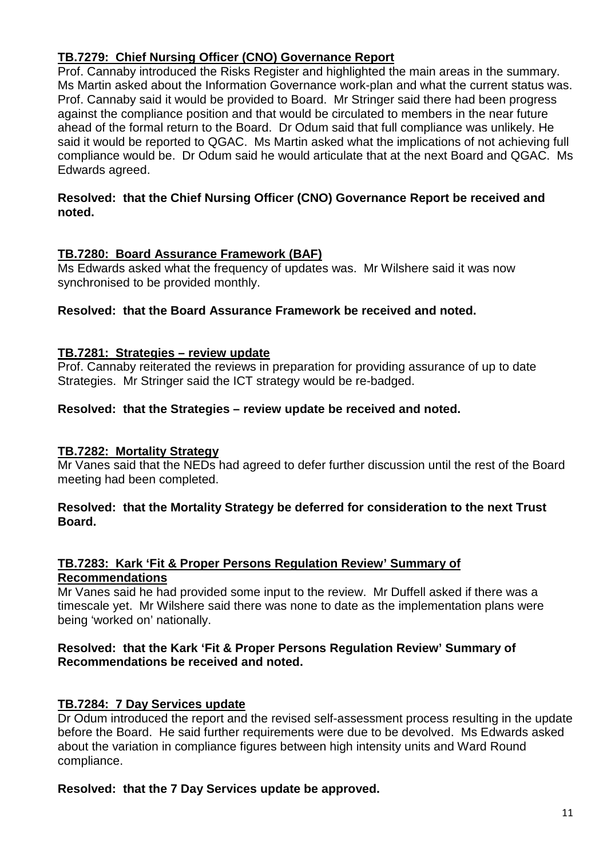# **TB.7279: Chief Nursing Officer (CNO) Governance Report**

Prof. Cannaby introduced the Risks Register and highlighted the main areas in the summary. Ms Martin asked about the Information Governance work-plan and what the current status was. Prof. Cannaby said it would be provided to Board. Mr Stringer said there had been progress against the compliance position and that would be circulated to members in the near future ahead of the formal return to the Board. Dr Odum said that full compliance was unlikely. He said it would be reported to QGAC. Ms Martin asked what the implications of not achieving full compliance would be. Dr Odum said he would articulate that at the next Board and QGAC. Ms Edwards agreed.

# **Resolved: that the Chief Nursing Officer (CNO) Governance Report be received and noted.**

# **TB.7280: Board Assurance Framework (BAF)**

Ms Edwards asked what the frequency of updates was. Mr Wilshere said it was now synchronised to be provided monthly.

## **Resolved: that the Board Assurance Framework be received and noted.**

## **TB.7281: Strategies – review update**

Prof. Cannaby reiterated the reviews in preparation for providing assurance of up to date Strategies. Mr Stringer said the ICT strategy would be re-badged.

## **Resolved: that the Strategies – review update be received and noted.**

## **TB.7282: Mortality Strategy**

Mr Vanes said that the NEDs had agreed to defer further discussion until the rest of the Board meeting had been completed.

## **Resolved: that the Mortality Strategy be deferred for consideration to the next Trust Board.**

## **TB.7283: Kark 'Fit & Proper Persons Regulation Review' Summary of Recommendations**

Mr Vanes said he had provided some input to the review. Mr Duffell asked if there was a timescale yet. Mr Wilshere said there was none to date as the implementation plans were being 'worked on' nationally.

## **Resolved: that the Kark 'Fit & Proper Persons Regulation Review' Summary of Recommendations be received and noted.**

## **TB.7284: 7 Day Services update**

Dr Odum introduced the report and the revised self-assessment process resulting in the update before the Board. He said further requirements were due to be devolved. Ms Edwards asked about the variation in compliance figures between high intensity units and Ward Round compliance.

## **Resolved: that the 7 Day Services update be approved.**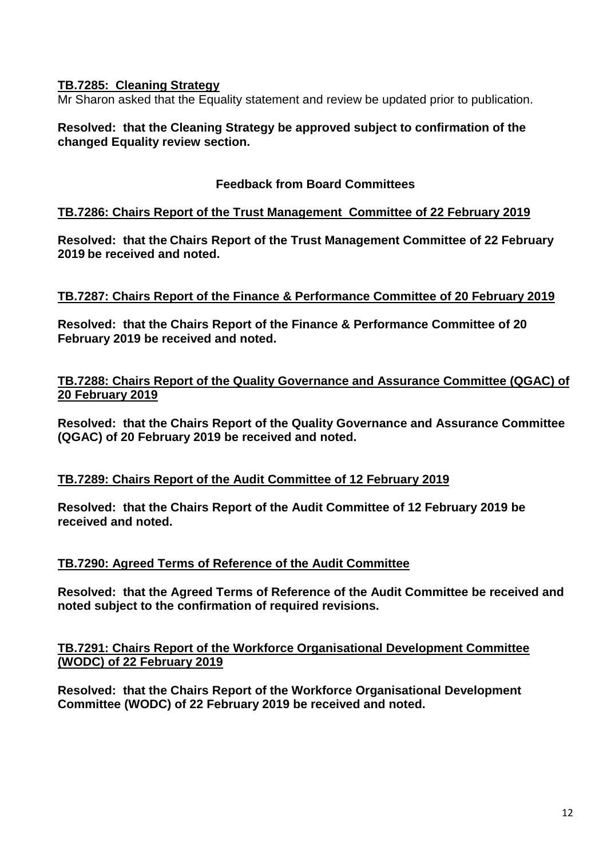# **TB.7285: Cleaning Strategy**

Mr Sharon asked that the Equality statement and review be updated prior to publication.

## **Resolved: that the Cleaning Strategy be approved subject to confirmation of the changed Equality review section.**

## **Feedback from Board Committees**

## **TB.7286: Chairs Report of the Trust Management Committee of 22 February 2019**

**Resolved: that the Chairs Report of the Trust Management Committee of 22 February 2019 be received and noted.**

## **TB.7287: Chairs Report of the Finance & Performance Committee of 20 February 2019**

**Resolved: that the Chairs Report of the Finance & Performance Committee of 20 February 2019 be received and noted.**

## **TB.7288: Chairs Report of the Quality Governance and Assurance Committee (QGAC) of 20 February 2019**

**Resolved: that the Chairs Report of the Quality Governance and Assurance Committee (QGAC) of 20 February 2019 be received and noted.**

## **TB.7289: Chairs Report of the Audit Committee of 12 February 2019**

**Resolved: that the Chairs Report of the Audit Committee of 12 February 2019 be received and noted.**

## **TB.7290: Agreed Terms of Reference of the Audit Committee**

**Resolved: that the Agreed Terms of Reference of the Audit Committee be received and noted subject to the confirmation of required revisions.**

## **TB.7291: Chairs Report of the Workforce Organisational Development Committee (WODC) of 22 February 2019**

**Resolved: that the Chairs Report of the Workforce Organisational Development Committee (WODC) of 22 February 2019 be received and noted.**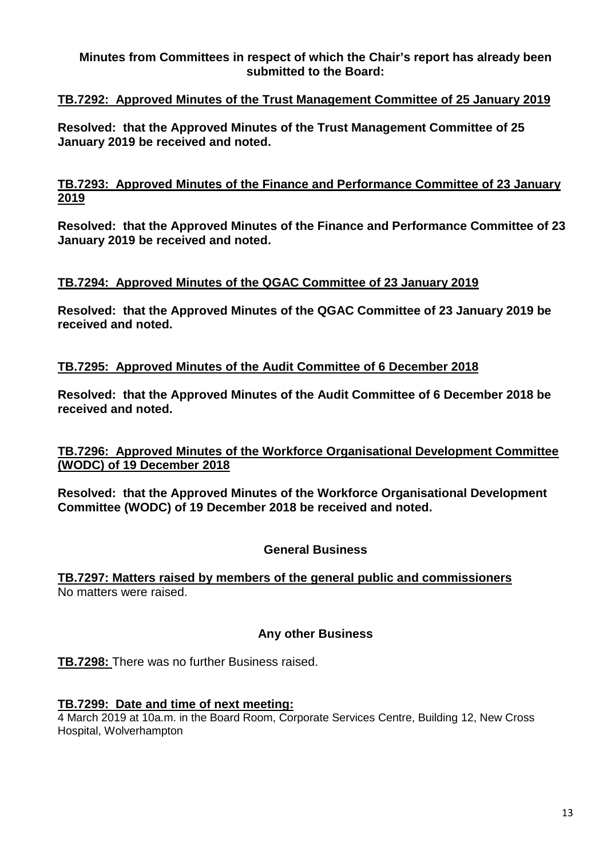## **Minutes from Committees in respect of which the Chair's report has already been submitted to the Board:**

# **TB.7292: Approved Minutes of the Trust Management Committee of 25 January 2019**

**Resolved: that the Approved Minutes of the Trust Management Committee of 25 January 2019 be received and noted.**

## **TB.7293: Approved Minutes of the Finance and Performance Committee of 23 January 2019**

**Resolved: that the Approved Minutes of the Finance and Performance Committee of 23 January 2019 be received and noted.**

## **TB.7294: Approved Minutes of the QGAC Committee of 23 January 2019**

**Resolved: that the Approved Minutes of the QGAC Committee of 23 January 2019 be received and noted.**

## **TB.7295: Approved Minutes of the Audit Committee of 6 December 2018**

**Resolved: that the Approved Minutes of the Audit Committee of 6 December 2018 be received and noted.**

## **TB.7296: Approved Minutes of the Workforce Organisational Development Committee (WODC) of 19 December 2018**

**Resolved: that the Approved Minutes of the Workforce Organisational Development Committee (WODC) of 19 December 2018 be received and noted.**

## **General Business**

**TB.7297: Matters raised by members of the general public and commissioners** No matters were raised.

## **Any other Business**

**TB.7298:** There was no further Business raised.

#### **TB.7299: Date and time of next meeting:**

4 March 2019 at 10a.m. in the Board Room, Corporate Services Centre, Building 12, New Cross Hospital, Wolverhampton